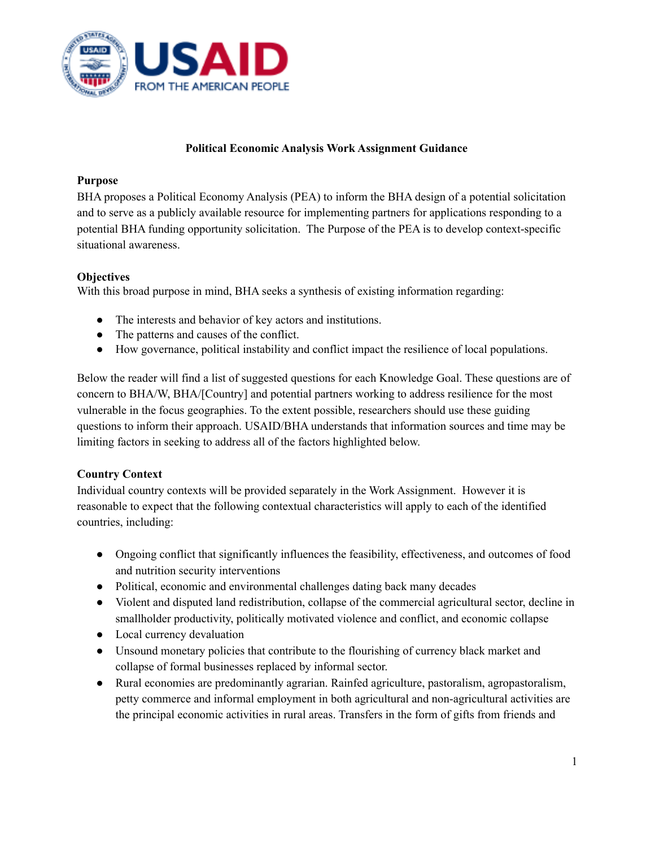

### **Political Economic Analysis Work Assignment Guidance**

#### **Purpose**

BHA proposes a Political Economy Analysis (PEA) to inform the BHA design of a potential solicitation and to serve as a publicly available resource for implementing partners for applications responding to a potential BHA funding opportunity solicitation. The Purpose of the PEA is to develop context-specific situational awareness.

## **Objectives**

With this broad purpose in mind, BHA seeks a synthesis of existing information regarding:

- The interests and behavior of key actors and institutions.
- The patterns and causes of the conflict.
- How governance, political instability and conflict impact the resilience of local populations.

Below the reader will find a list of suggested questions for each Knowledge Goal. These questions are of concern to BHA/W, BHA/[Country] and potential partners working to address resilience for the most vulnerable in the focus geographies. To the extent possible, researchers should use these guiding questions to inform their approach. USAID/BHA understands that information sources and time may be limiting factors in seeking to address all of the factors highlighted below.

## **Country Context**

Individual country contexts will be provided separately in the Work Assignment. However it is reasonable to expect that the following contextual characteristics will apply to each of the identified countries, including:

- Ongoing conflict that significantly influences the feasibility, effectiveness, and outcomes of food and nutrition security interventions
- Political, economic and environmental challenges dating back many decades
- Violent and disputed land redistribution, collapse of the commercial agricultural sector, decline in smallholder productivity, politically motivated violence and conflict, and economic collapse
- Local currency devaluation
- Unsound monetary policies that contribute to the flourishing of currency black market and collapse of formal businesses replaced by informal sector.
- Rural economies are predominantly agrarian. Rainfed agriculture, pastoralism, agropastoralism, petty commerce and informal employment in both agricultural and non-agricultural activities are the principal economic activities in rural areas. Transfers in the form of gifts from friends and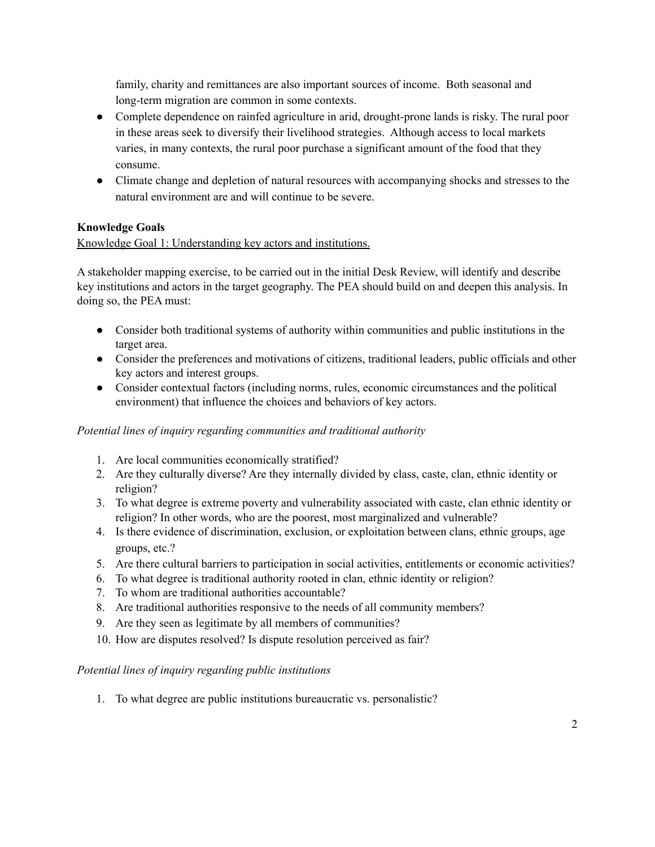family, charity and remittances are also important sources of income. Both seasonal and long-term migration are common in some contexts.

- Complete dependence on rainfed agriculture in arid, drought-prone lands is risky. The rural poor in these areas seek to diversify their livelihood strategies. Although access to local markets varies, in many contexts, the rural poor purchase a significant amount of the food that they consume.
- Climate change and depletion of natural resources with accompanying shocks and stresses to the natural environment are and will continue to be severe.

# **Knowledge Goals**

# Knowledge Goal 1: Understanding key actors and institutions.

A stakeholder mapping exercise, to be carried out in the initial Desk Review, will identify and describe key institutions and actors in the target geography. The PEA should build on and deepen this analysis. In doing so, the PEA must:

- Consider both traditional systems of authority within communities and public institutions in the target area.
- Consider the preferences and motivations of citizens, traditional leaders, public officials and other key actors and interest groups.
- Consider contextual factors (including norms, rules, economic circumstances and the political environment) that influence the choices and behaviors of key actors.

## *Potential lines of inquiry regarding communities and traditional authority*

- 1. Are local communities economically stratified?
- 2. Are they culturally diverse? Are they internally divided by class, caste, clan, ethnic identity or religion?
- 3. To what degree is extreme poverty and vulnerability associated with caste, clan ethnic identity or religion? In other words, who are the poorest, most marginalized and vulnerable?
- 4. Is there evidence of discrimination, exclusion, or exploitation between clans, ethnic groups, age groups, etc.?
- 5. Are there cultural barriers to participation in social activities, entitlements or economic activities?
- 6. To what degree is traditional authority rooted in clan, ethnic identity or religion?
- 7. To whom are traditional authorities accountable?
- 8. Are traditional authorities responsive to the needs of all community members?
- 9. Are they seen as legitimate by all members of communities?
- 10. How are disputes resolved? Is dispute resolution perceived as fair?

## *Potential lines of inquiry regarding public institutions*

1. To what degree are public institutions bureaucratic vs. personalistic?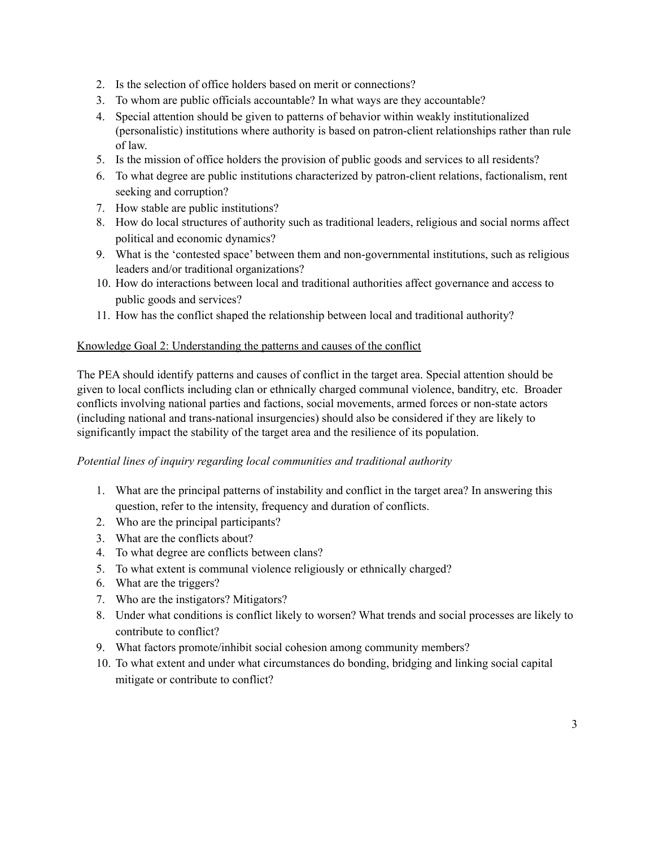- 2. Is the selection of office holders based on merit or connections?
- 3. To whom are public officials accountable? In what ways are they accountable?
- 4. Special attention should be given to patterns of behavior within weakly institutionalized (personalistic) institutions where authority is based on patron-client relationships rather than rule of law.
- 5. Is the mission of office holders the provision of public goods and services to all residents?
- 6. To what degree are public institutions characterized by patron-client relations, factionalism, rent seeking and corruption?
- 7. How stable are public institutions?
- 8. How do local structures of authority such as traditional leaders, religious and social norms affect political and economic dynamics?
- 9. What is the 'contested space' between them and non-governmental institutions, such as religious leaders and/or traditional organizations?
- 10. How do interactions between local and traditional authorities affect governance and access to public goods and services?
- 11. How has the conflict shaped the relationship between local and traditional authority?

#### Knowledge Goal 2: Understanding the patterns and causes of the conflict

The PEA should identify patterns and causes of conflict in the target area. Special attention should be given to local conflicts including clan or ethnically charged communal violence, banditry, etc. Broader conflicts involving national parties and factions, social movements, armed forces or non-state actors (including national and trans-national insurgencies) should also be considered if they are likely to significantly impact the stability of the target area and the resilience of its population.

#### *Potential lines of inquiry regarding local communities and traditional authority*

- 1. What are the principal patterns of instability and conflict in the target area? In answering this question, refer to the intensity, frequency and duration of conflicts.
- 2. Who are the principal participants?
- 3. What are the conflicts about?
- 4. To what degree are conflicts between clans?
- 5. To what extent is communal violence religiously or ethnically charged?
- 6. What are the triggers?
- 7. Who are the instigators? Mitigators?
- 8. Under what conditions is conflict likely to worsen? What trends and social processes are likely to contribute to conflict?
- 9. What factors promote/inhibit social cohesion among community members?
- 10. To what extent and under what circumstances do bonding, bridging and linking social capital mitigate or contribute to conflict?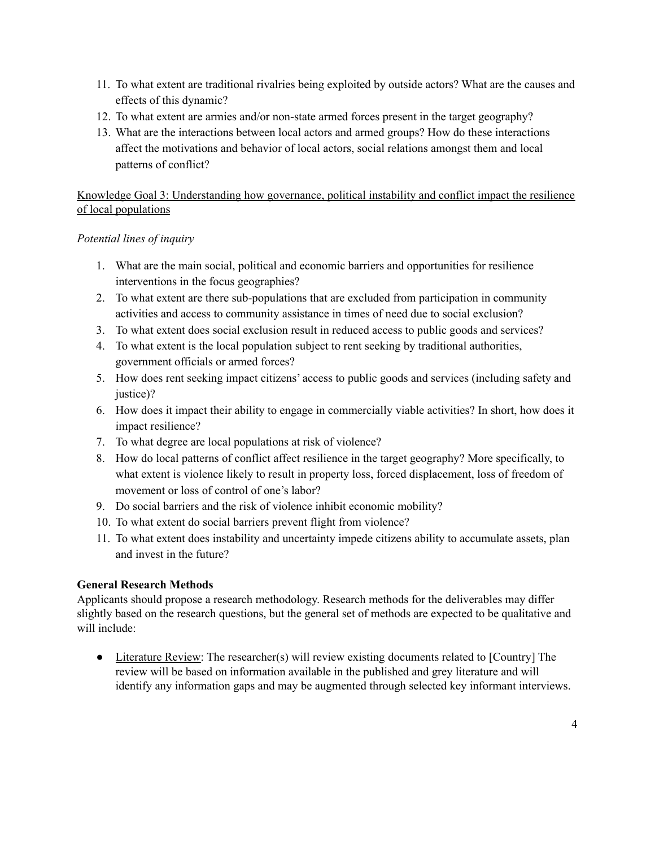- 11. To what extent are traditional rivalries being exploited by outside actors? What are the causes and effects of this dynamic?
- 12. To what extent are armies and/or non-state armed forces present in the target geography?
- 13. What are the interactions between local actors and armed groups? How do these interactions affect the motivations and behavior of local actors, social relations amongst them and local patterns of conflict?

# Knowledge Goal 3: Understanding how governance, political instability and conflict impact the resilience of local populations

# *Potential lines of inquiry*

- 1. What are the main social, political and economic barriers and opportunities for resilience interventions in the focus geographies?
- 2. To what extent are there sub-populations that are excluded from participation in community activities and access to community assistance in times of need due to social exclusion?
- 3. To what extent does social exclusion result in reduced access to public goods and services?
- 4. To what extent is the local population subject to rent seeking by traditional authorities, government officials or armed forces?
- 5. How does rent seeking impact citizens' access to public goods and services (including safety and justice)?
- 6. How does it impact their ability to engage in commercially viable activities? In short, how does it impact resilience?
- 7. To what degree are local populations at risk of violence?
- 8. How do local patterns of conflict affect resilience in the target geography? More specifically, to what extent is violence likely to result in property loss, forced displacement, loss of freedom of movement or loss of control of one's labor?
- 9. Do social barriers and the risk of violence inhibit economic mobility?
- 10. To what extent do social barriers prevent flight from violence?
- 11. To what extent does instability and uncertainty impede citizens ability to accumulate assets, plan and invest in the future?

# **General Research Methods**

Applicants should propose a research methodology. Research methods for the deliverables may differ slightly based on the research questions, but the general set of methods are expected to be qualitative and will include:

• Literature Review: The researcher(s) will review existing documents related to [Country] The review will be based on information available in the published and grey literature and will identify any information gaps and may be augmented through selected key informant interviews.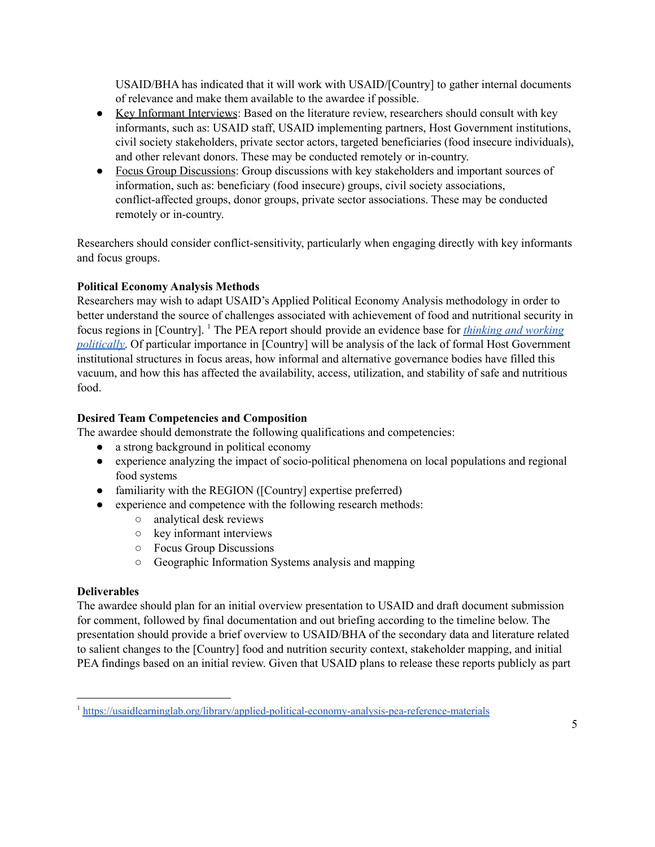USAID/BHA has indicated that it will work with USAID/[Country] to gather internal documents of relevance and make them available to the awardee if possible.

- Key Informant Interviews: Based on the literature review, researchers should consult with key informants, such as: USAID staff, USAID implementing partners, Host Government institutions, civil society stakeholders, private sector actors, targeted beneficiaries (food insecure individuals), and other relevant donors. These may be conducted remotely or in-country.
- Focus Group Discussions: Group discussions with key stakeholders and important sources of information, such as: beneficiary (food insecure) groups, civil society associations, conflict-affected groups, donor groups, private sector associations. These may be conducted remotely or in-country.

Researchers should consider conflict-sensitivity, particularly when engaging directly with key informants and focus groups.

# **Political Economy Analysis Methods**

Researchers may wish to adapt USAID's Applied Political Economy Analysis methodology in order to better understand the source of challenges associated with achievement of food and nutritional security in focus regions in [Country]. <sup>1</sup> The PEA report should provide an evidence base for *thinking and [working](https://usaidlearninglab.org/sites/default/files/resource/files/pea_guide_final.pdf) [politically](https://usaidlearninglab.org/sites/default/files/resource/files/pea_guide_final.pdf)*. Of particular importance in [Country] will be analysis of the lack of formal Host Government institutional structures in focus areas, how informal and alternative governance bodies have filled this vacuum, and how this has affected the availability, access, utilization, and stability of safe and nutritious food.

# **Desired Team Competencies and Composition**

The awardee should demonstrate the following qualifications and competencies:

- a strong background in political economy
- experience analyzing the impact of socio-political phenomena on local populations and regional food systems
- familiarity with the REGION ([Country] expertise preferred)
- experience and competence with the following research methods:
	- analytical desk reviews
	- key informant interviews
	- Focus Group Discussions
	- Geographic Information Systems analysis and mapping

## **Deliverables**

The awardee should plan for an initial overview presentation to USAID and draft document submission for comment, followed by final documentation and out briefing according to the timeline below. The presentation should provide a brief overview to USAID/BHA of the secondary data and literature related to salient changes to the [Country] food and nutrition security context, stakeholder mapping, and initial PEA findings based on an initial review. Given that USAID plans to release these reports publicly as part

<sup>&</sup>lt;sup>1</sup> <https://usaidlearninglab.org/library/applied-political-economy-analysis-pea-reference-materials>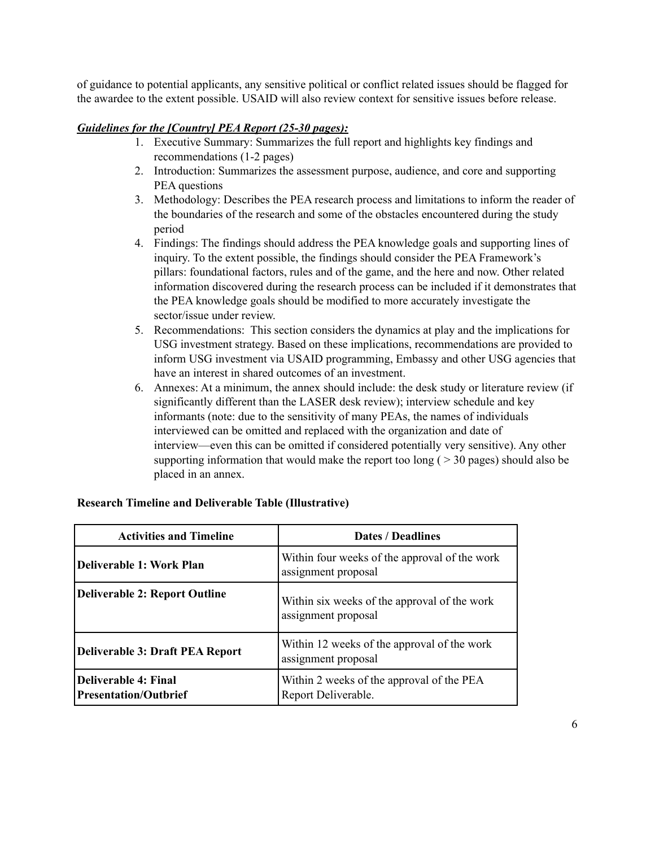of guidance to potential applicants, any sensitive political or conflict related issues should be flagged for the awardee to the extent possible. USAID will also review context for sensitive issues before release.

### *Guidelines for the [Country] PEA Report (25-30 pages):*

- 1. Executive Summary: Summarizes the full report and highlights key findings and recommendations (1-2 pages)
- 2. Introduction: Summarizes the assessment purpose, audience, and core and supporting PEA questions
- 3. Methodology: Describes the PEA research process and limitations to inform the reader of the boundaries of the research and some of the obstacles encountered during the study period
- 4. Findings: The findings should address the PEA knowledge goals and supporting lines of inquiry. To the extent possible, the findings should consider the PEA Framework's pillars: foundational factors, rules and of the game, and the here and now. Other related information discovered during the research process can be included if it demonstrates that the PEA knowledge goals should be modified to more accurately investigate the sector/issue under review.
- 5. Recommendations: This section considers the dynamics at play and the implications for USG investment strategy. Based on these implications, recommendations are provided to inform USG investment via USAID programming, Embassy and other USG agencies that have an interest in shared outcomes of an investment.
- 6. Annexes: At a minimum, the annex should include: the desk study or literature review (if significantly different than the LASER desk review); interview schedule and key informants (note: due to the sensitivity of many PEAs, the names of individuals interviewed can be omitted and replaced with the organization and date of interview—even this can be omitted if considered potentially very sensitive). Any other supporting information that would make the report too long ( $>$  30 pages) should also be placed in an annex.

| <b>Activities and Timeline</b>                              | <b>Dates / Deadlines</b>                                             |
|-------------------------------------------------------------|----------------------------------------------------------------------|
| Deliverable 1: Work Plan                                    | Within four weeks of the approval of the work<br>assignment proposal |
| <b>Deliverable 2: Report Outline</b>                        | Within six weeks of the approval of the work<br>assignment proposal  |
| <b>Deliverable 3: Draft PEA Report</b>                      | Within 12 weeks of the approval of the work<br>assignment proposal   |
| <b>Deliverable 4: Final</b><br><b>Presentation/Outbrief</b> | Within 2 weeks of the approval of the PEA<br>Report Deliverable.     |

## **Research Timeline and Deliverable Table (Illustrative)**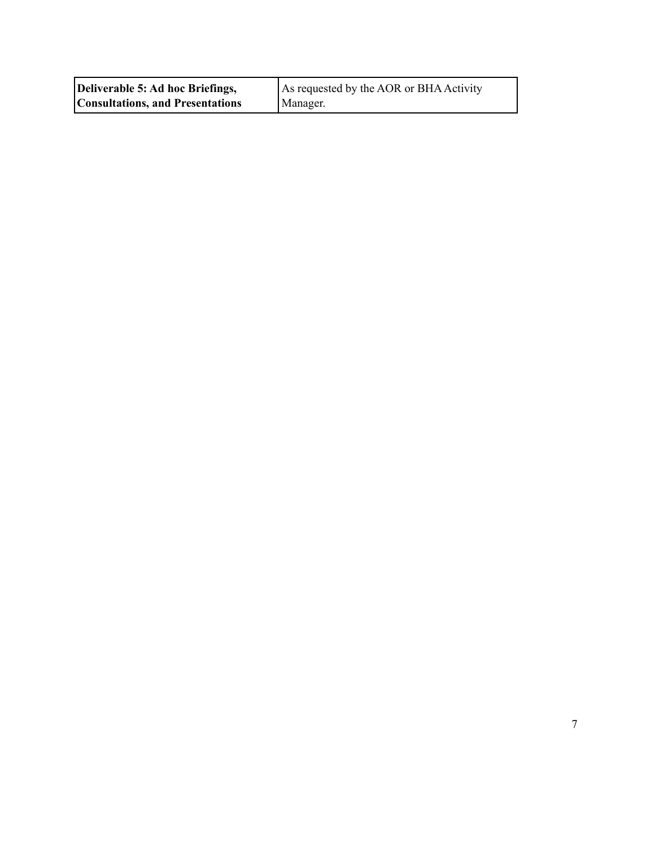| Deliverable 5: Ad hoc Briefings,        | As requested by the AOR or BHA Activity |
|-----------------------------------------|-----------------------------------------|
| <b>Consultations, and Presentations</b> | Manager.                                |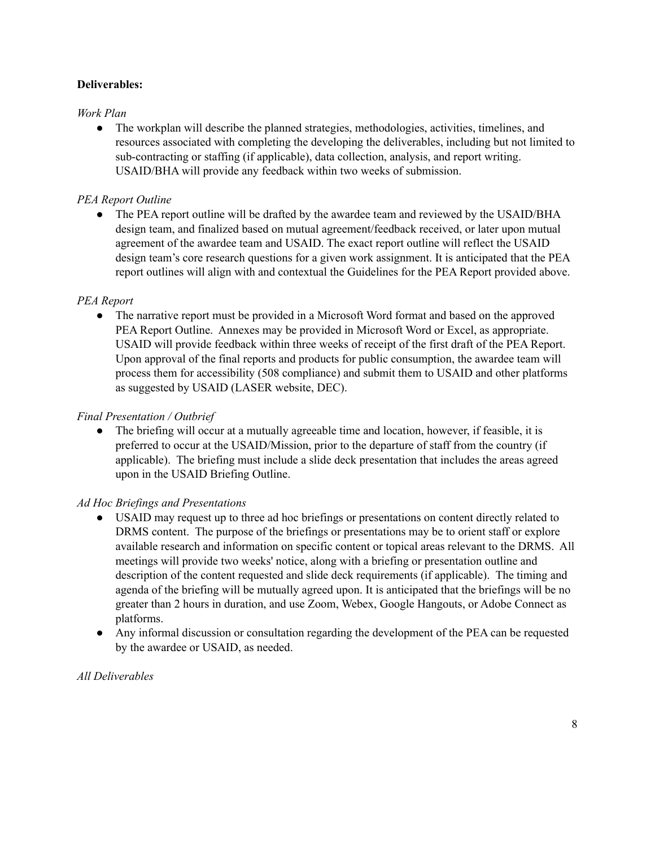## **Deliverables:**

#### *Work Plan*

• The workplan will describe the planned strategies, methodologies, activities, timelines, and resources associated with completing the developing the deliverables, including but not limited to sub-contracting or staffing (if applicable), data collection, analysis, and report writing. USAID/BHA will provide any feedback within two weeks of submission.

### *PEA Report Outline*

• The PEA report outline will be drafted by the awardee team and reviewed by the USAID/BHA design team, and finalized based on mutual agreement/feedback received, or later upon mutual agreement of the awardee team and USAID. The exact report outline will reflect the USAID design team's core research questions for a given work assignment. It is anticipated that the PEA report outlines will align with and contextual the Guidelines for the PEA Report provided above.

#### *PEA Report*

• The narrative report must be provided in a Microsoft Word format and based on the approved PEA Report Outline. Annexes may be provided in Microsoft Word or Excel, as appropriate. USAID will provide feedback within three weeks of receipt of the first draft of the PEA Report. Upon approval of the final reports and products for public consumption, the awardee team will process them for accessibility (508 compliance) and submit them to USAID and other platforms as suggested by USAID (LASER website, DEC).

#### *Final Presentation / Outbrief*

**●** The briefing will occur at a mutually agreeable time and location, however, if feasible, it is preferred to occur at the USAID/Mission, prior to the departure of staff from the country (if applicable). The briefing must include a slide deck presentation that includes the areas agreed upon in the USAID Briefing Outline.

#### *Ad Hoc Briefings and Presentations*

- USAID may request up to three ad hoc briefings or presentations on content directly related to DRMS content. The purpose of the briefings or presentations may be to orient staff or explore available research and information on specific content or topical areas relevant to the DRMS. All meetings will provide two weeks' notice, along with a briefing or presentation outline and description of the content requested and slide deck requirements (if applicable). The timing and agenda of the briefing will be mutually agreed upon. It is anticipated that the briefings will be no greater than 2 hours in duration, and use Zoom, Webex, Google Hangouts, or Adobe Connect as platforms.
- Any informal discussion or consultation regarding the development of the PEA can be requested by the awardee or USAID, as needed.

## *All Deliverables*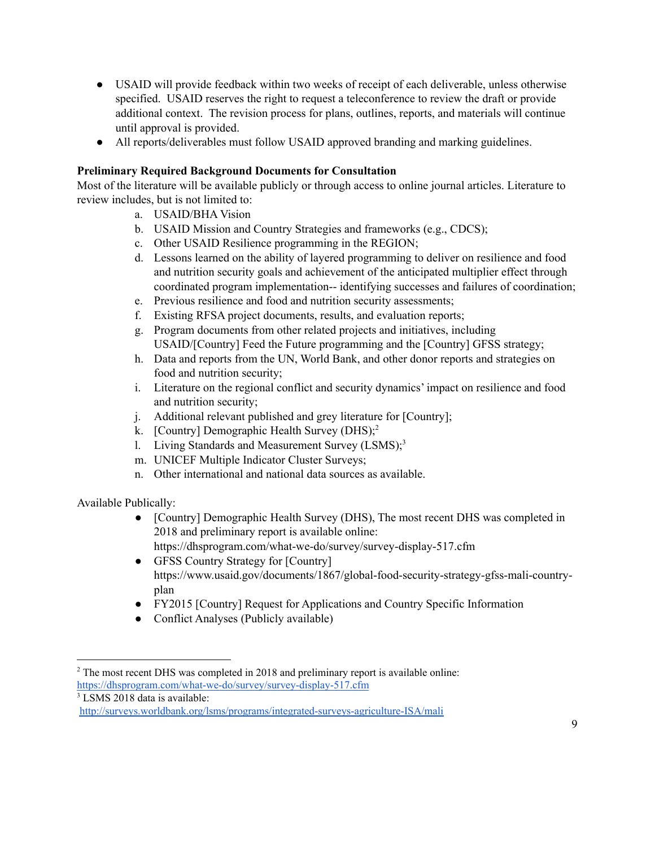- USAID will provide feedback within two weeks of receipt of each deliverable, unless otherwise specified. USAID reserves the right to request a teleconference to review the draft or provide additional context. The revision process for plans, outlines, reports, and materials will continue until approval is provided.
- All reports/deliverables must follow USAID approved branding and marking guidelines.

## **Preliminary Required Background Documents for Consultation**

Most of the literature will be available publicly or through access to online journal articles. Literature to review includes, but is not limited to:

- a. USAID/BHA Vision
- b. USAID Mission and Country Strategies and frameworks (e.g., CDCS);
- c. Other USAID Resilience programming in the REGION;
- d. Lessons learned on the ability of layered programming to deliver on resilience and food and nutrition security goals and achievement of the anticipated multiplier effect through coordinated program implementation-- identifying successes and failures of coordination;
- e. Previous resilience and food and nutrition security assessments;
- f. Existing RFSA project documents, results, and evaluation reports;
- g. Program documents from other related projects and initiatives, including USAID/[Country] Feed the Future programming and the [Country] GFSS strategy;
- h. Data and reports from the UN, World Bank, and other donor reports and strategies on food and nutrition security;
- i. Literature on the regional conflict and security dynamics' impact on resilience and food and nutrition security;
- j. Additional relevant published and grey literature for [Country];
- k. [Country] Demographic Health Survey (DHS);<sup>2</sup>
- 1. Living Standards and Measurement Survey (LSMS);<sup>3</sup>
- m. UNICEF Multiple Indicator Cluster Surveys;
- n. Other international and national data sources as available.

Available Publically:

- [Country] Demographic Health Survey (DHS), The most recent DHS was completed in 2018 and preliminary report is available online: https://dhsprogram.com/what-we-do/survey/survey-display-517.cfm
- GFSS Country Strategy for [Country] https://www.usaid.gov/documents/1867/global-food-security-strategy-gfss-mali-countryplan
- FY2015 [Country] Request for Applications and Country Specific Information
- Conflict Analyses (Publicly available)

<sup>&</sup>lt;sup>2</sup> The most recent DHS was completed in 2018 and preliminary report is available online: <https://dhsprogram.com/what-we-do/survey/survey-display-517.cfm>

<sup>&</sup>lt;sup>3</sup> LSMS 2018 data is available:

<http://surveys.worldbank.org/lsms/programs/integrated-surveys-agriculture-ISA/mali>